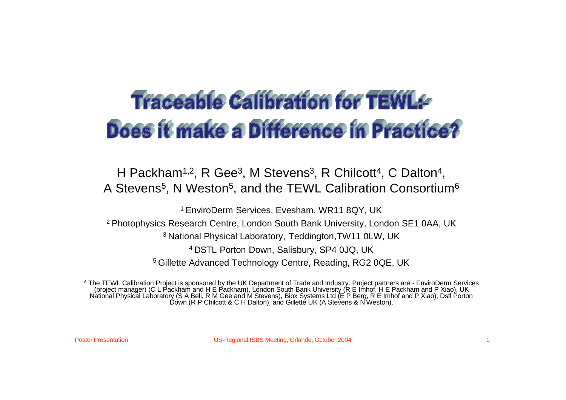# **Traceable Calibration for TEWL&** Does it make a Difference in Practice?

H Packham<sup>1,2</sup>, R Gee<sup>3</sup>, M Stevens<sup>3</sup>, R Chilcott<sup>4</sup>, C Dalton<sup>4</sup>, A Stevens<sup>5</sup>, N Weston<sup>5</sup>, and the TEWL Calibration Consortium<sup>6</sup>

<sup>1</sup> EnviroDerm Services, Evesham, WR11 8QY, UK

<sup>2</sup> Photophysics Research Centre, London South Bank University, London SE1 0AA, UK

<sup>3</sup> National Physical Laboratory, Teddington, TW11 0LW, UK

<sup>4</sup>DSTL Porton Down, Salisbury, SP4 0JQ, UK

<sup>5</sup> Gillette Advanced Technology Centre, Reading, RG2 0QE, UK

<sup>6</sup> The TEWL Calibration Project is sponsored by the UK Department of Trade and Industry. Project partners are:- EnviroDerm Services (project manager) (C L Packham and H E Packham), London South Bank University (R E Imhof, H E Packham and P Xiao), UK National Physical Laboratory (S A Bell, R M Gee and M Stevens), Biox Systems Ltd (E P Berg, R E Imhof and P Xiao), Dstl Porton Down (R P Chilcott & C H Dalton), and Gillette UK (A Stevens & N Weston).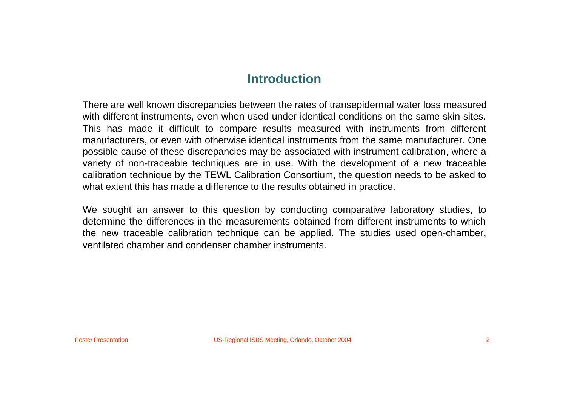## **Introduction**

There are well known discrepancies between the rates of transepidermal water loss measured with different instruments, even when used under identical conditions on the same skin sites. This has made it difficult to compare results measured with instruments from different manufacturers, or even with otherwise identical instruments from the same manufacturer. One possible cause of these discrepancies may be associated with instrument calibration, where a variety of non-traceable techniques are in use. With the development of a new traceable calibration technique by the TEWL Calibration Consortium, the question needs to be asked to what extent this has made a difference to the results obtained in practice.

We sought an answer to this question by conducting comparative laboratory studies, to determine the differences in the measurements obtained from different instruments to which the new traceable calibration technique can be applied. The studies used open-chamber, ventilated chamber and condenser chamber instruments.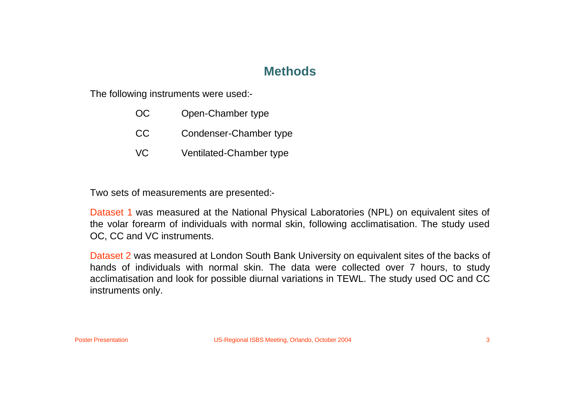## **Methods**

The following instruments were used:-

- OC Open-Chamber type
- CC Condenser-Chamber type
- VC Ventilated-Chamber type

Two sets of measurements are presented:-

Dataset 1 was measured at the National Physical Laboratories (NPL) on equivalent sites of the volar forearm of individuals with normal skin, following acclimatisation. The study used OC, CC and VC instruments.

Dataset 2 was measured at London South Bank University on equivalent sites of the backs of hands of individuals with normal skin. The data were collected over 7 hours, to study acclimatisation and look for possible diurnal variations in TEWL. The study used OC and CC instruments only.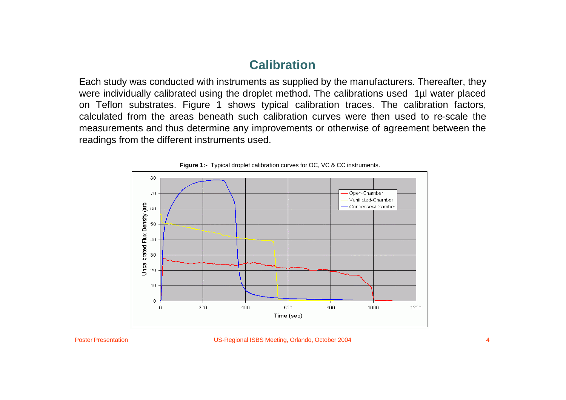# **Calibration**

Each study was conducted with instruments as supplied by the manufacturers. Thereafter, they were individually calibrated using the droplet method. The calibrations used 1µl water placed on Teflon substrates. Figure 1 shows typical calibration traces. The calibration factors, calculated from the areas beneath such calibration curves were then used to re-scale the measurements and thus determine any improvements or otherwise of agreement between the readings from the different instruments used.



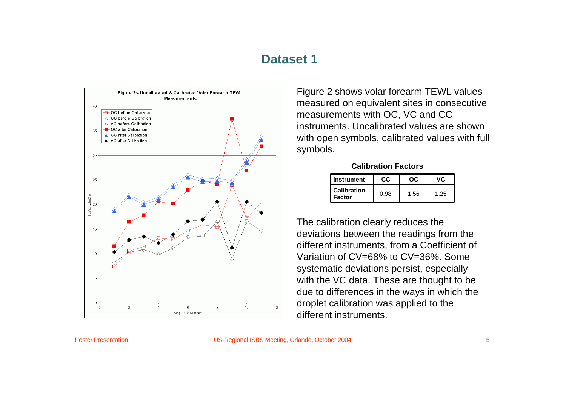#### **Dataset 1**



Figure 2 shows volar forearm TEWL values measured on equivalent sites in consecutive measurements with OC, VC and CC instruments. Uncalibrated values are shown with open symbols, calibrated values with full symbols.

**Calibration Factors**

| Instrument                          | CC.  | ററ   | vc.  |
|-------------------------------------|------|------|------|
| <b>Calibration</b><br><b>Factor</b> | 0.98 | 1.56 | 1.25 |

The calibration clearly reduces the deviations between the readings from the different instruments, from a Coefficient of Variation of CV=68% to CV=36%. Some systematic deviations persist, especially with the VC data. These are thought to be due to differences in the ways in which the droplet calibration was applied to the different instruments.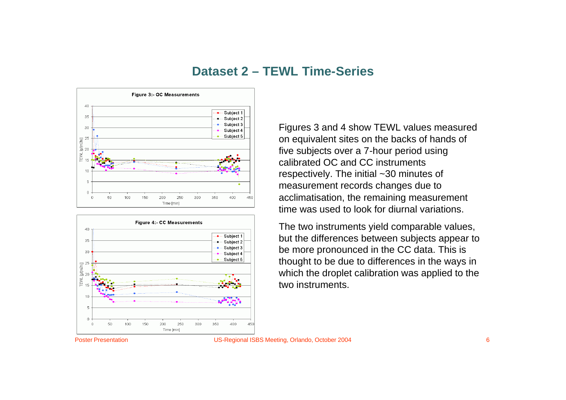#### **Dataset 2 – TEWL Time-Series**





Figures 3 and 4 show TEWL values measured on equivalent sites on the backs of hands of five subjects over a 7-hour period using calibrated OC and CC instruments respectively. The initial ~30 minutes of measurement records changes due to acclimatisation, the remaining measurement time was used to look for diurnal variations.

The two instruments yield comparable values, but the differences between subjects appear to be more pronounced in the CC data. This is thought to be due to differences in the ways in which the droplet calibration was applied to the two instruments.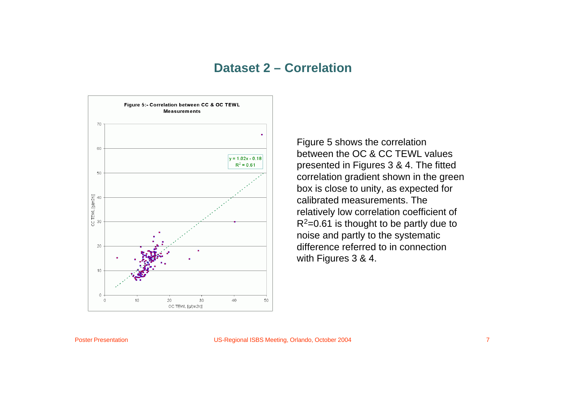#### **Dataset 2 – Correlation**



Figure 5 shows the correlation between the OC & CC TEWL values presented in Figures 3 & 4. The fitted correlation gradient shown in the green box is close to unity, as expected for calibrated measurements. The relatively low correlation coefficient of  $R^2$ =0.61 is thought to be partly due to noise and partly to the systematic difference referred to in connection with Figures 3 & 4.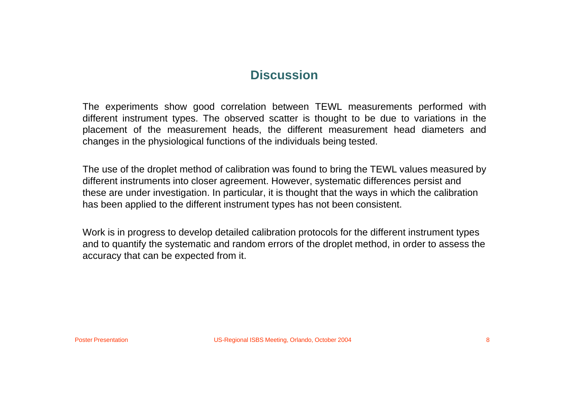## **Discussion**

The experiments show good correlation between TEWL measurements performed with different instrument types. The observed scatter is thought to be due to variations in the placement of the measurement heads, the different measurement head diameters and changes in the physiological functions of the individuals being tested.

The use of the droplet method of calibration was found to bring the TEWL values measured by different instruments into closer agreement. However, systematic differences persist and these are under investigation. In particular, it is thought that the ways in which the calibration has been applied to the different instrument types has not been consistent.

Work is in progress to develop detailed calibration protocols for the different instrument types and to quantify the systematic and random errors of the droplet method, in order to assess the accuracy that can be expected from it.